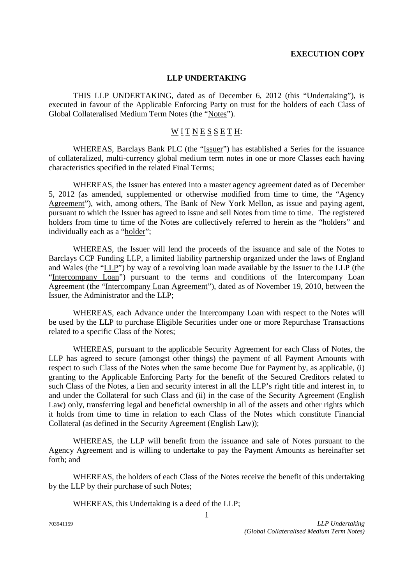## **EXECUTION COPY**

## **LLP UNDERTAKING**

THIS LLP UNDERTAKING, dated as of December 6, 2012 (this "Undertaking"), is executed in favour of the Applicable Enforcing Party on trust for the holders of each Class of Global Collateralised Medium Term Notes (the "Notes").

## $W I T N E S S E T H$ :

WHEREAS, Barclays Bank PLC (the "Issuer") has established a Series for the issuance of collateralized, multi-currency global medium term notes in one or more Classes each having characteristics specified in the related Final Terms;

WHEREAS, the Issuer has entered into a master agency agreement dated as of December 5, 2012 (as amended, supplemented or otherwise modified from time to time, the "Agency Agreement"), with, among others, The Bank of New York Mellon, as issue and paying agent, pursuant to which the Issuer has agreed to issue and sell Notes from time to time. The registered holders from time to time of the Notes are collectively referred to herein as the "holders" and individually each as a "holder";

WHEREAS, the Issuer will lend the proceeds of the issuance and sale of the Notes to Barclays CCP Funding LLP, a limited liability partnership organized under the laws of England and Wales (the "LLP") by way of a revolving loan made available by the Issuer to the LLP (the "Intercompany Loan") pursuant to the terms and conditions of the Intercompany Loan Agreement (the "Intercompany Loan Agreement"), dated as of November 19, 2010, between the Issuer, the Administrator and the LLP;

WHEREAS, each Advance under the Intercompany Loan with respect to the Notes will be used by the LLP to purchase Eligible Securities under one or more Repurchase Transactions related to a specific Class of the Notes;

WHEREAS, pursuant to the applicable Security Agreement for each Class of Notes, the LLP has agreed to secure (amongst other things) the payment of all Payment Amounts with respect to such Class of the Notes when the same become Due for Payment by, as applicable, (i) granting to the Applicable Enforcing Party for the benefit of the Secured Creditors related to such Class of the Notes, a lien and security interest in all the LLP's right title and interest in, to and under the Collateral for such Class and (ii) in the case of the Security Agreement (English Law) only, transferring legal and beneficial ownership in all of the assets and other rights which it holds from time to time in relation to each Class of the Notes which constitute Financial Collateral (as defined in the Security Agreement (English Law));

WHEREAS, the LLP will benefit from the issuance and sale of Notes pursuant to the Agency Agreement and is willing to undertake to pay the Payment Amounts as hereinafter set forth; and

WHEREAS, the holders of each Class of the Notes receive the benefit of this undertaking by the LLP by their purchase of such Notes;

WHEREAS, this Undertaking is a deed of the LLP;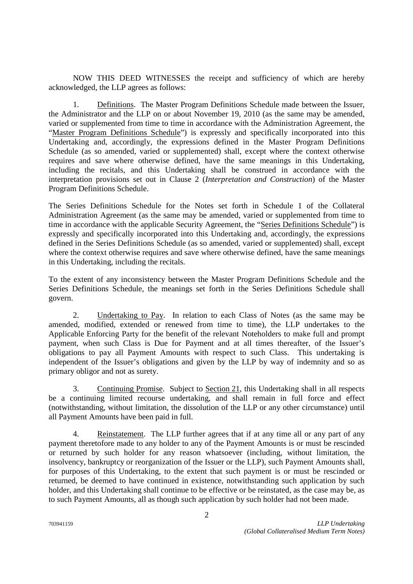NOW THIS DEED WITNESSES the receipt and sufficiency of which are hereby acknowledged, the LLP agrees as follows:

1. Definitions. The Master Program Definitions Schedule made between the Issuer, the Administrator and the LLP on or about November 19, 2010 (as the same may be amended, varied or supplemented from time to time in accordance with the Administration Agreement, the "Master Program Definitions Schedule") is expressly and specifically incorporated into this Undertaking and, accordingly, the expressions defined in the Master Program Definitions Schedule (as so amended, varied or supplemented) shall, except where the context otherwise requires and save where otherwise defined, have the same meanings in this Undertaking, including the recitals, and this Undertaking shall be construed in accordance with the interpretation provisions set out in Clause 2 (*Interpretation and Construction*) of the Master Program Definitions Schedule.

The Series Definitions Schedule for the Notes set forth in Schedule 1 of the Collateral Administration Agreement (as the same may be amended, varied or supplemented from time to time in accordance with the applicable Security Agreement, the "Series Definitions Schedule") is expressly and specifically incorporated into this Undertaking and, accordingly, the expressions defined in the Series Definitions Schedule (as so amended, varied or supplemented) shall, except where the context otherwise requires and save where otherwise defined, have the same meanings in this Undertaking, including the recitals.

To the extent of any inconsistency between the Master Program Definitions Schedule and the Series Definitions Schedule, the meanings set forth in the Series Definitions Schedule shall govern.

2. Undertaking to Pay. In relation to each Class of Notes (as the same may be amended, modified, extended or renewed from time to time), the LLP undertakes to the Applicable Enforcing Party for the benefit of the relevant Noteholders to make full and prompt payment, when such Class is Due for Payment and at all times thereafter, of the Issuer's obligations to pay all Payment Amounts with respect to such Class. This undertaking is independent of the Issuer's obligations and given by the LLP by way of indemnity and so as primary obligor and not as surety.

3. Continuing Promise. Subject to Section 21, this Undertaking shall in all respects be a continuing limited recourse undertaking, and shall remain in full force and effect (notwithstanding, without limitation, the dissolution of the LLP or any other circumstance) until all Payment Amounts have been paid in full.

4. Reinstatement. The LLP further agrees that if at any time all or any part of any payment theretofore made to any holder to any of the Payment Amounts is or must be rescinded or returned by such holder for any reason whatsoever (including, without limitation, the insolvency, bankruptcy or reorganization of the Issuer or the LLP), such Payment Amounts shall, for purposes of this Undertaking, to the extent that such payment is or must be rescinded or returned, be deemed to have continued in existence, notwithstanding such application by such holder, and this Undertaking shall continue to be effective or be reinstated, as the case may be, as to such Payment Amounts, all as though such application by such holder had not been made.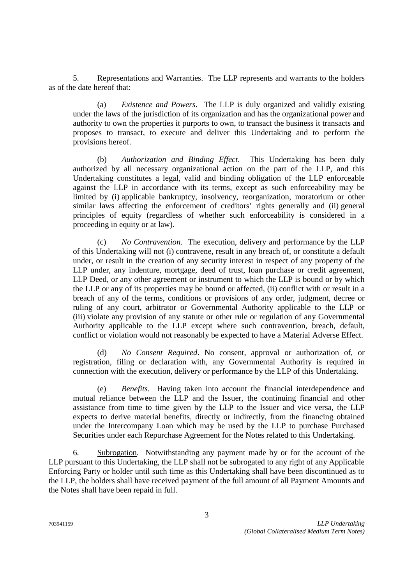5. Representations and Warranties. The LLP represents and warrants to the holders as of the date hereof that:

(a) *Existence and Powers*. The LLP is duly organized and validly existing under the laws of the jurisdiction of its organization and has the organizational power and authority to own the properties it purports to own, to transact the business it transacts and proposes to transact, to execute and deliver this Undertaking and to perform the provisions hereof.

(b) *Authorization and Binding Effect*. This Undertaking has been duly authorized by all necessary organizational action on the part of the LLP, and this Undertaking constitutes a legal, valid and binding obligation of the LLP enforceable against the LLP in accordance with its terms, except as such enforceability may be limited by (i) applicable bankruptcy, insolvency, reorganization, moratorium or other similar laws affecting the enforcement of creditors' rights generally and (ii) general principles of equity (regardless of whether such enforceability is considered in a proceeding in equity or at law).

(c) *No Contravention*. The execution, delivery and performance by the LLP of this Undertaking will not (i) contravene, result in any breach of, or constitute a default under, or result in the creation of any security interest in respect of any property of the LLP under, any indenture, mortgage, deed of trust, loan purchase or credit agreement, LLP Deed, or any other agreement or instrument to which the LLP is bound or by which the LLP or any of its properties may be bound or affected, (ii) conflict with or result in a breach of any of the terms, conditions or provisions of any order, judgment, decree or ruling of any court, arbitrator or Governmental Authority applicable to the LLP or (iii) violate any provision of any statute or other rule or regulation of any Governmental Authority applicable to the LLP except where such contravention, breach, default, conflict or violation would not reasonably be expected to have a Material Adverse Effect.

(d) *No Consent Required*. No consent, approval or authorization of, or registration, filing or declaration with, any Governmental Authority is required in connection with the execution, delivery or performance by the LLP of this Undertaking.

(e) *Benefits*. Having taken into account the financial interdependence and mutual reliance between the LLP and the Issuer, the continuing financial and other assistance from time to time given by the LLP to the Issuer and vice versa, the LLP expects to derive material benefits, directly or indirectly, from the financing obtained under the Intercompany Loan which may be used by the LLP to purchase Purchased Securities under each Repurchase Agreement for the Notes related to this Undertaking.

6. Subrogation. Notwithstanding any payment made by or for the account of the LLP pursuant to this Undertaking, the LLP shall not be subrogated to any right of any Applicable Enforcing Party or holder until such time as this Undertaking shall have been discontinued as to the LLP, the holders shall have received payment of the full amount of all Payment Amounts and the Notes shall have been repaid in full.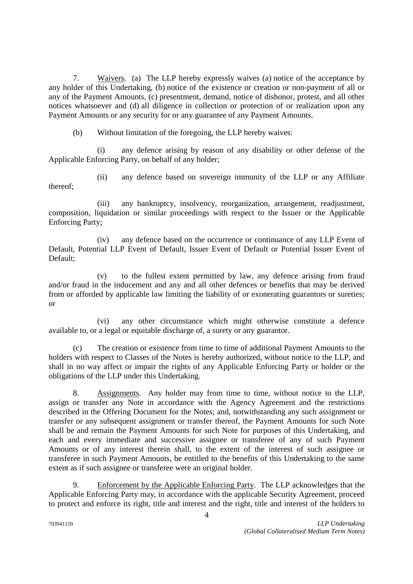7. Waivers. (a) The LLP hereby expressly waives (a) notice of the acceptance by any holder of this Undertaking, (b) notice of the existence or creation or non-payment of all or any of the Payment Amounts, (c) presentment, demand, notice of dishonor, protest, and all other notices whatsoever and (d) all diligence in collection or protection of or realization upon any Payment Amounts or any security for or any guarantee of any Payment Amounts.

(b) Without limitation of the foregoing, the LLP hereby waives:

(i) any defence arising by reason of any disability or other defense of the Applicable Enforcing Party, on behalf of any holder;

(ii) any defence based on sovereign immunity of the LLP or any Affiliate thereof;

(iii) any bankruptcy, insolvency, reorganization, arrangement, readjustment, composition, liquidation or similar proceedings with respect to the Issuer or the Applicable Enforcing Party;

(iv) any defence based on the occurrence or continuance of any LLP Event of Default, Potential LLP Event of Default, Issuer Event of Default or Potential Issuer Event of Default;

(v) to the fullest extent permitted by law, any defence arising from fraud and/or fraud in the inducement and any and all other defences or benefits that may be derived from or afforded by applicable law limiting the liability of or exonerating guarantors or sureties; or

(vi) any other circumstance which might otherwise constitute a defence available to, or a legal or equitable discharge of, a surety or any guarantor.

(c) The creation or existence from time to time of additional Payment Amounts to the holders with respect to Classes of the Notes is hereby authorized, without notice to the LLP, and shall in no way affect or impair the rights of any Applicable Enforcing Party or holder or the obligations of the LLP under this Undertaking.

8. Assignments. Any holder may from time to time, without notice to the LLP, assign or transfer any Note in accordance with the Agency Agreement and the restrictions described in the Offering Document for the Notes; and, notwithstanding any such assignment or transfer or any subsequent assignment or transfer thereof, the Payment Amounts for such Note shall be and remain the Payment Amounts for such Note for purposes of this Undertaking, and each and every immediate and successive assignee or transferee of any of such Payment Amounts or of any interest therein shall, to the extent of the interest of such assignee or transferee in such Payment Amounts, be entitled to the benefits of this Undertaking to the same extent as if such assignee or transferee were an original holder.

9. Enforcement by the Applicable Enforcing Party. The LLP acknowledges that the Applicable Enforcing Party may, in accordance with the applicable Security Agreement, proceed to protect and enforce its right, title and interest and the right, title and interest of the holders to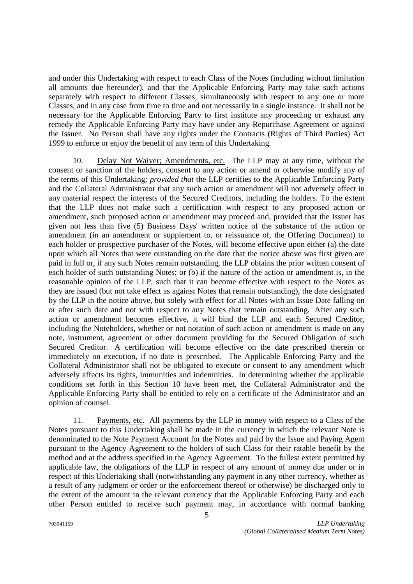and under this Undertaking with respect to each Class of the Notes (including without limitation all amounts due hereunder), and that the Applicable Enforcing Party may take such actions separately with respect to different Classes, simultaneously with respect to any one or more Classes, and in any case from time to time and not necessarily in a single instance. It shall not be necessary for the Applicable Enforcing Party to first institute any proceeding or exhaust any remedy the Applicable Enforcing Party may have under any Repurchase Agreement or against the Issuer. No Person shall have any rights under the Contracts (Rights of Third Parties) Act 1999 to enforce or enjoy the benefit of any term of this Undertaking.

10. Delay Not Waiver; Amendments, etc. The LLP may at any time, without the consent or sanction of the holders, consent to any action or amend or otherwise modify any of the terms of this Undertaking; *provided that* the LLP certifies to the Applicable Enforcing Party and the Collateral Administrator that any such action or amendment will not adversely affect in any material respect the interests of the Secured Creditors, including the holders. To the extent that the LLP does not make such a certification with respect to any proposed action or amendment, such proposed action or amendment may proceed and, provided that the Issuer has given not less than five (5) Business Days' written notice of the substance of the action or amendment (in an amendment or supplement to, or reissuance of, the Offering Document) to each holder or prospective purchaser of the Notes, will become effective upon either (a) the date upon which all Notes that were outstanding on the date that the notice above was first given are paid in full or, if any such Notes remain outstanding, the LLP obtains the prior written consent of each holder of such outstanding Notes; or (b) if the nature of the action or amendment is, in the reasonable opinion of the LLP, such that it can become effective with respect to the Notes as they are issued (but not take effect as against Notes that remain outstanding), the date designated by the LLP in the notice above, but solely with effect for all Notes with an Issue Date falling on or after such date and not with respect to any Notes that remain outstanding. After any such action or amendment becomes effective, it will bind the LLP and each Secured Creditor, including the Noteholders, whether or not notation of such action or amendment is made on any note, instrument, agreement or other document providing for the Secured Obligation of such Secured Creditor. A certification will become effective on the date prescribed therein or immediately on execution, if no date is prescribed. The Applicable Enforcing Party and the Collateral Administrator shall not be obligated to execute or consent to any amendment which adversely affects its rights, immunities and indemnities. In determining whether the applicable conditions set forth in this Section 10 have been met, the Collateral Administrator and the Applicable Enforcing Party shall be entitled to rely on a certificate of the Administrator and an opinion of counsel.

11. Payments, etc. All payments by the LLP in money with respect to a Class of the Notes pursuant to this Undertaking shall be made in the currency in which the relevant Note is denominated to the Note Payment Account for the Notes and paid by the Issue and Paying Agent pursuant to the Agency Agreement to the holders of such Class for their ratable benefit by the method and at the address specified in the Agency Agreement. To the fullest extent permitted by applicable law, the obligations of the LLP in respect of any amount of money due under or in respect of this Undertaking shall (notwithstanding any payment in any other currency, whether as a result of any judgment or order or the enforcement thereof or otherwise) be discharged only to the extent of the amount in the relevant currency that the Applicable Enforcing Party and each other Person entitled to receive such payment may, in accordance with normal banking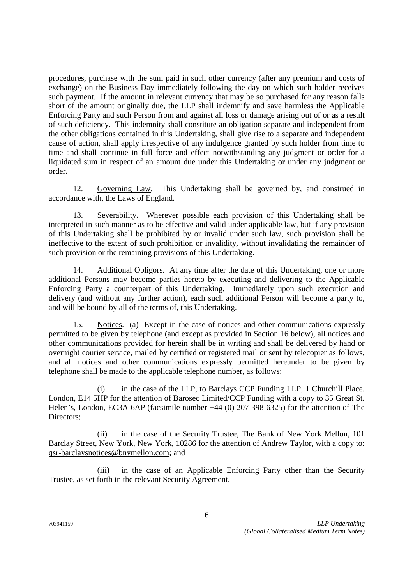procedures, purchase with the sum paid in such other currency (after any premium and costs of exchange) on the Business Day immediately following the day on which such holder receives such payment. If the amount in relevant currency that may be so purchased for any reason falls short of the amount originally due, the LLP shall indemnify and save harmless the Applicable Enforcing Party and such Person from and against all loss or damage arising out of or as a result of such deficiency. This indemnity shall constitute an obligation separate and independent from the other obligations contained in this Undertaking, shall give rise to a separate and independent cause of action, shall apply irrespective of any indulgence granted by such holder from time to time and shall continue in full force and effect notwithstanding any judgment or order for a liquidated sum in respect of an amount due under this Undertaking or under any judgment or order.

12. Governing Law. This Undertaking shall be governed by, and construed in accordance with, the Laws of England.

13. Severability. Wherever possible each provision of this Undertaking shall be interpreted in such manner as to be effective and valid under applicable law, but if any provision of this Undertaking shall be prohibited by or invalid under such law, such provision shall be ineffective to the extent of such prohibition or invalidity, without invalidating the remainder of such provision or the remaining provisions of this Undertaking.

14. Additional Obligors. At any time after the date of this Undertaking, one or more additional Persons may become parties hereto by executing and delivering to the Applicable Enforcing Party a counterpart of this Undertaking. Immediately upon such execution and delivery (and without any further action), each such additional Person will become a party to, and will be bound by all of the terms of, this Undertaking.

15. Notices. (a) Except in the case of notices and other communications expressly permitted to be given by telephone (and except as provided in Section 16 below), all notices and other communications provided for herein shall be in writing and shall be delivered by hand or overnight courier service, mailed by certified or registered mail or sent by telecopier as follows, and all notices and other communications expressly permitted hereunder to be given by telephone shall be made to the applicable telephone number, as follows:

(i) in the case of the LLP, to Barclays CCP Funding LLP, 1 Churchill Place, London, E14 5HP for the attention of Barosec Limited/CCP Funding with a copy to 35 Great St. Helen's, London, EC3A 6AP (facsimile number +44 (0) 207-398-6325) for the attention of The Directors;

(ii) in the case of the Security Trustee, The Bank of New York Mellon, 101 Barclay Street, New York, New York, 10286 for the attention of Andrew Taylor, with a copy to: qsr-barclaysnotices@bnymellon.com; and

(iii) in the case of an Applicable Enforcing Party other than the Security Trustee, as set forth in the relevant Security Agreement.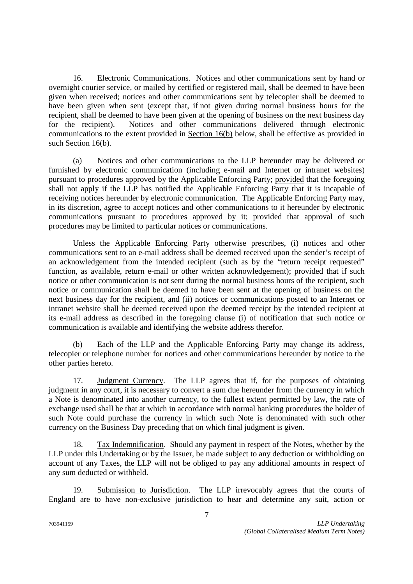16. Electronic Communications. Notices and other communications sent by hand or overnight courier service, or mailed by certified or registered mail, shall be deemed to have been given when received; notices and other communications sent by telecopier shall be deemed to have been given when sent (except that, if not given during normal business hours for the recipient, shall be deemed to have been given at the opening of business on the next business day for the recipient). Notices and other communications delivered through electronic communications to the extent provided in Section 16(b) below, shall be effective as provided in such Section 16(b).

(a) Notices and other communications to the LLP hereunder may be delivered or furnished by electronic communication (including e-mail and Internet or intranet websites) pursuant to procedures approved by the Applicable Enforcing Party; provided that the foregoing shall not apply if the LLP has notified the Applicable Enforcing Party that it is incapable of receiving notices hereunder by electronic communication. The Applicable Enforcing Party may, in its discretion, agree to accept notices and other communications to it hereunder by electronic communications pursuant to procedures approved by it; provided that approval of such procedures may be limited to particular notices or communications.

Unless the Applicable Enforcing Party otherwise prescribes, (i) notices and other communications sent to an e-mail address shall be deemed received upon the sender's receipt of an acknowledgement from the intended recipient (such as by the "return receipt requested" function, as available, return e-mail or other written acknowledgement); provided that if such notice or other communication is not sent during the normal business hours of the recipient, such notice or communication shall be deemed to have been sent at the opening of business on the next business day for the recipient, and (ii) notices or communications posted to an Internet or intranet website shall be deemed received upon the deemed receipt by the intended recipient at its e-mail address as described in the foregoing clause (i) of notification that such notice or communication is available and identifying the website address therefor.

(b) Each of the LLP and the Applicable Enforcing Party may change its address, telecopier or telephone number for notices and other communications hereunder by notice to the other parties hereto.

17. Judgment Currency. The LLP agrees that if, for the purposes of obtaining judgment in any court, it is necessary to convert a sum due hereunder from the currency in which a Note is denominated into another currency, to the fullest extent permitted by law, the rate of exchange used shall be that at which in accordance with normal banking procedures the holder of such Note could purchase the currency in which such Note is denominated with such other currency on the Business Day preceding that on which final judgment is given.

18. Tax Indemnification. Should any payment in respect of the Notes, whether by the LLP under this Undertaking or by the Issuer, be made subject to any deduction or withholding on account of any Taxes, the LLP will not be obliged to pay any additional amounts in respect of any sum deducted or withheld.

19. Submission to Jurisdiction. The LLP irrevocably agrees that the courts of England are to have non-exclusive jurisdiction to hear and determine any suit, action or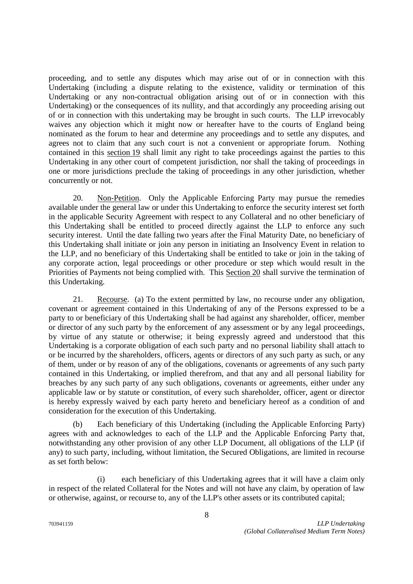proceeding, and to settle any disputes which may arise out of or in connection with this Undertaking (including a dispute relating to the existence, validity or termination of this Undertaking or any non-contractual obligation arising out of or in connection with this Undertaking) or the consequences of its nullity, and that accordingly any proceeding arising out of or in connection with this undertaking may be brought in such courts. The LLP irrevocably waives any objection which it might now or hereafter have to the courts of England being nominated as the forum to hear and determine any proceedings and to settle any disputes, and agrees not to claim that any such court is not a convenient or appropriate forum. Nothing contained in this section 19 shall limit any right to take proceedings against the parties to this Undertaking in any other court of competent jurisdiction, nor shall the taking of proceedings in one or more jurisdictions preclude the taking of proceedings in any other jurisdiction, whether concurrently or not.

20. Non-Petition. Only the Applicable Enforcing Party may pursue the remedies available under the general law or under this Undertaking to enforce the security interest set forth in the applicable Security Agreement with respect to any Collateral and no other beneficiary of this Undertaking shall be entitled to proceed directly against the LLP to enforce any such security interest. Until the date falling two years after the Final Maturity Date, no beneficiary of this Undertaking shall initiate or join any person in initiating an Insolvency Event in relation to the LLP, and no beneficiary of this Undertaking shall be entitled to take or join in the taking of any corporate action, legal proceedings or other procedure or step which would result in the Priorities of Payments not being complied with. This Section 20 shall survive the termination of this Undertaking.

21. Recourse. (a) To the extent permitted by law, no recourse under any obligation, covenant or agreement contained in this Undertaking of any of the Persons expressed to be a party to or beneficiary of this Undertaking shall be had against any shareholder, officer, member or director of any such party by the enforcement of any assessment or by any legal proceedings, by virtue of any statute or otherwise; it being expressly agreed and understood that this Undertaking is a corporate obligation of each such party and no personal liability shall attach to or be incurred by the shareholders, officers, agents or directors of any such party as such, or any of them, under or by reason of any of the obligations, covenants or agreements of any such party contained in this Undertaking, or implied therefrom, and that any and all personal liability for breaches by any such party of any such obligations, covenants or agreements, either under any applicable law or by statute or constitution, of every such shareholder, officer, agent or director is hereby expressly waived by each party hereto and beneficiary hereof as a condition of and consideration for the execution of this Undertaking.

(b) Each beneficiary of this Undertaking (including the Applicable Enforcing Party) agrees with and acknowledges to each of the LLP and the Applicable Enforcing Party that, notwithstanding any other provision of any other LLP Document, all obligations of the LLP (if any) to such party, including, without limitation, the Secured Obligations, are limited in recourse as set forth below:

(i) each beneficiary of this Undertaking agrees that it will have a claim only in respect of the related Collateral for the Notes and will not have any claim, by operation of law or otherwise, against, or recourse to, any of the LLP's other assets or its contributed capital;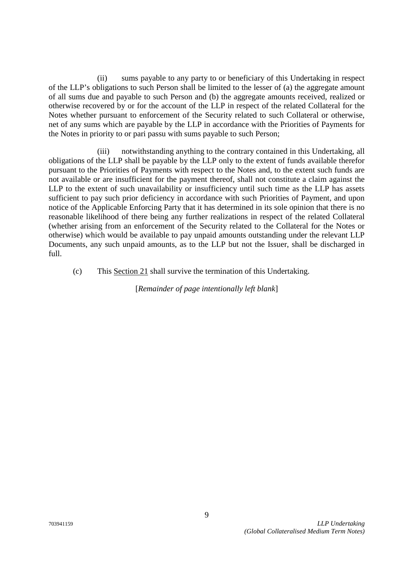(ii) sums payable to any party to or beneficiary of this Undertaking in respect of the LLP's obligations to such Person shall be limited to the lesser of (a) the aggregate amount of all sums due and payable to such Person and (b) the aggregate amounts received, realized or otherwise recovered by or for the account of the LLP in respect of the related Collateral for the Notes whether pursuant to enforcement of the Security related to such Collateral or otherwise, net of any sums which are payable by the LLP in accordance with the Priorities of Payments for the Notes in priority to or pari passu with sums payable to such Person;

(iii) notwithstanding anything to the contrary contained in this Undertaking, all obligations of the LLP shall be payable by the LLP only to the extent of funds available therefor pursuant to the Priorities of Payments with respect to the Notes and, to the extent such funds are not available or are insufficient for the payment thereof, shall not constitute a claim against the LLP to the extent of such unavailability or insufficiency until such time as the LLP has assets sufficient to pay such prior deficiency in accordance with such Priorities of Payment, and upon notice of the Applicable Enforcing Party that it has determined in its sole opinion that there is no reasonable likelihood of there being any further realizations in respect of the related Collateral (whether arising from an enforcement of the Security related to the Collateral for the Notes or otherwise) which would be available to pay unpaid amounts outstanding under the relevant LLP Documents, any such unpaid amounts, as to the LLP but not the Issuer, shall be discharged in full.

(c) This Section 21 shall survive the termination of this Undertaking.

[*Remainder of page intentionally left blank*]